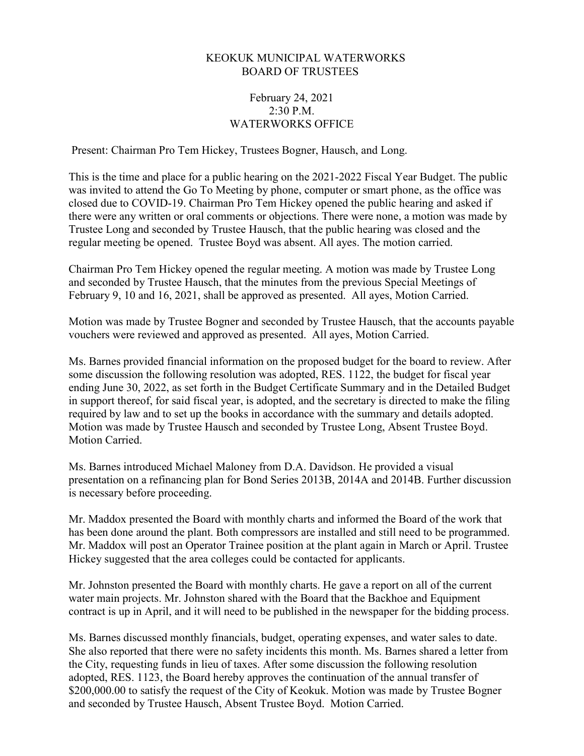## KEOKUK MUNICIPAL WATERWORKS BOARD OF TRUSTEES

## February 24, 2021 2:30 P.M. WATERWORKS OFFICE

Present: Chairman Pro Tem Hickey, Trustees Bogner, Hausch, and Long.

This is the time and place for a public hearing on the 2021-2022 Fiscal Year Budget. The public was invited to attend the Go To Meeting by phone, computer or smart phone, as the office was closed due to COVID-19. Chairman Pro Tem Hickey opened the public hearing and asked if there were any written or oral comments or objections. There were none, a motion was made by Trustee Long and seconded by Trustee Hausch, that the public hearing was closed and the regular meeting be opened. Trustee Boyd was absent. All ayes. The motion carried.

Chairman Pro Tem Hickey opened the regular meeting. A motion was made by Trustee Long and seconded by Trustee Hausch, that the minutes from the previous Special Meetings of February 9, 10 and 16, 2021, shall be approved as presented. All ayes, Motion Carried.

Motion was made by Trustee Bogner and seconded by Trustee Hausch, that the accounts payable vouchers were reviewed and approved as presented. All ayes, Motion Carried.

Ms. Barnes provided financial information on the proposed budget for the board to review. After some discussion the following resolution was adopted, RES. 1122, the budget for fiscal year ending June 30, 2022, as set forth in the Budget Certificate Summary and in the Detailed Budget in support thereof, for said fiscal year, is adopted, and the secretary is directed to make the filing required by law and to set up the books in accordance with the summary and details adopted. Motion was made by Trustee Hausch and seconded by Trustee Long, Absent Trustee Boyd. Motion Carried.

Ms. Barnes introduced Michael Maloney from D.A. Davidson. He provided a visual presentation on a refinancing plan for Bond Series 2013B, 2014A and 2014B. Further discussion is necessary before proceeding.

Mr. Maddox presented the Board with monthly charts and informed the Board of the work that has been done around the plant. Both compressors are installed and still need to be programmed. Mr. Maddox will post an Operator Trainee position at the plant again in March or April. Trustee Hickey suggested that the area colleges could be contacted for applicants.

Mr. Johnston presented the Board with monthly charts. He gave a report on all of the current water main projects. Mr. Johnston shared with the Board that the Backhoe and Equipment contract is up in April, and it will need to be published in the newspaper for the bidding process.

Ms. Barnes discussed monthly financials, budget, operating expenses, and water sales to date. She also reported that there were no safety incidents this month. Ms. Barnes shared a letter from the City, requesting funds in lieu of taxes. After some discussion the following resolution adopted, RES. 1123, the Board hereby approves the continuation of the annual transfer of \$200,000.00 to satisfy the request of the City of Keokuk. Motion was made by Trustee Bogner and seconded by Trustee Hausch, Absent Trustee Boyd. Motion Carried.